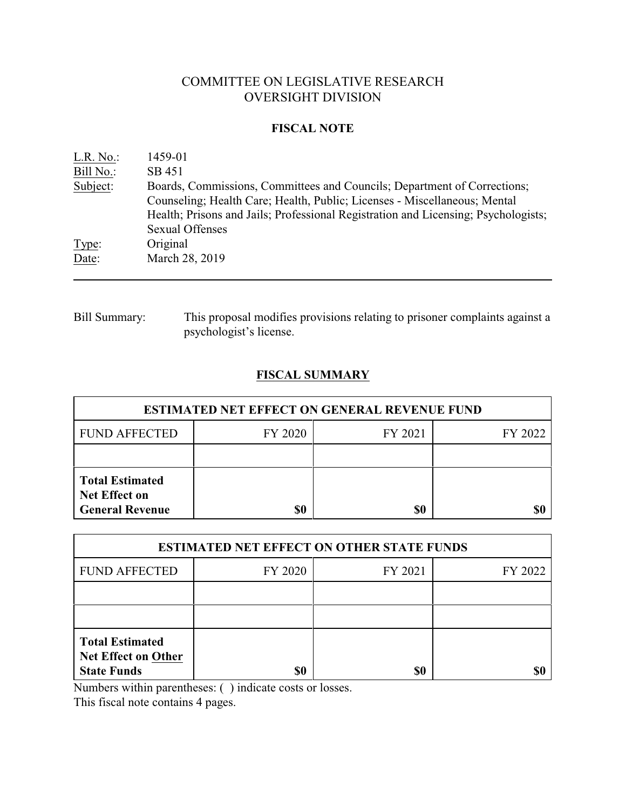# COMMITTEE ON LEGISLATIVE RESEARCH OVERSIGHT DIVISION

### **FISCAL NOTE**

| L.R. No.  | 1459-01                                                                            |
|-----------|------------------------------------------------------------------------------------|
| Bill No.: | SB 451                                                                             |
| Subject:  | Boards, Commissions, Committees and Councils; Department of Corrections;           |
|           | Counseling; Health Care; Health, Public; Licenses - Miscellaneous; Mental          |
|           | Health; Prisons and Jails; Professional Registration and Licensing; Psychologists; |
|           | <b>Sexual Offenses</b>                                                             |
| Type:     | Original                                                                           |
| Date:     | March 28, 2019                                                                     |
|           |                                                                                    |

Bill Summary: This proposal modifies provisions relating to prisoner complaints against a psychologist's license.

## **FISCAL SUMMARY**

| <b>ESTIMATED NET EFFECT ON GENERAL REVENUE FUND</b>                      |         |         |         |  |
|--------------------------------------------------------------------------|---------|---------|---------|--|
| <b>FUND AFFECTED</b>                                                     | FY 2020 | FY 2021 | FY 2022 |  |
|                                                                          |         |         |         |  |
| <b>Total Estimated</b><br><b>Net Effect on</b><br><b>General Revenue</b> | \$0     | \$0     |         |  |

| <b>ESTIMATED NET EFFECT ON OTHER STATE FUNDS</b>                           |         |         |         |  |
|----------------------------------------------------------------------------|---------|---------|---------|--|
| <b>FUND AFFECTED</b>                                                       | FY 2020 | FY 2021 | FY 2022 |  |
|                                                                            |         |         |         |  |
|                                                                            |         |         |         |  |
| <b>Total Estimated</b><br><b>Net Effect on Other</b><br><b>State Funds</b> | \$0     | \$0     |         |  |

Numbers within parentheses: ( ) indicate costs or losses.

This fiscal note contains 4 pages.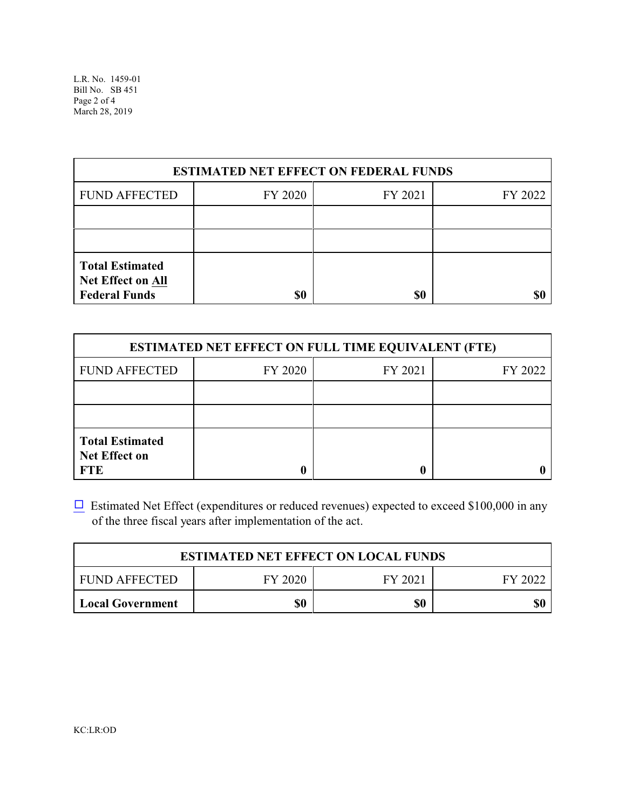| <b>ESTIMATED NET EFFECT ON FEDERAL FUNDS</b>                               |         |         |         |  |
|----------------------------------------------------------------------------|---------|---------|---------|--|
| <b>FUND AFFECTED</b>                                                       | FY 2020 | FY 2021 | FY 2022 |  |
|                                                                            |         |         |         |  |
|                                                                            |         |         |         |  |
| <b>Total Estimated</b><br><b>Net Effect on All</b><br><b>Federal Funds</b> | \$0     | \$0     |         |  |

| <b>ESTIMATED NET EFFECT ON FULL TIME EQUIVALENT (FTE)</b>    |         |         |         |  |
|--------------------------------------------------------------|---------|---------|---------|--|
| <b>FUND AFFECTED</b>                                         | FY 2020 | FY 2021 | FY 2022 |  |
|                                                              |         |         |         |  |
|                                                              |         |         |         |  |
| <b>Total Estimated</b><br><b>Net Effect on</b><br><b>FTE</b> |         |         |         |  |

 $\Box$  Estimated Net Effect (expenditures or reduced revenues) expected to exceed \$100,000 in any of the three fiscal years after implementation of the act.

| <b>ESTIMATED NET EFFECT ON LOCAL FUNDS</b> |         |         |         |
|--------------------------------------------|---------|---------|---------|
| <b>FUND AFFECTED</b>                       | FY 2020 | FY 2021 | FY 2022 |
| <b>Local Government</b>                    | \$0     | \$0     | \$0     |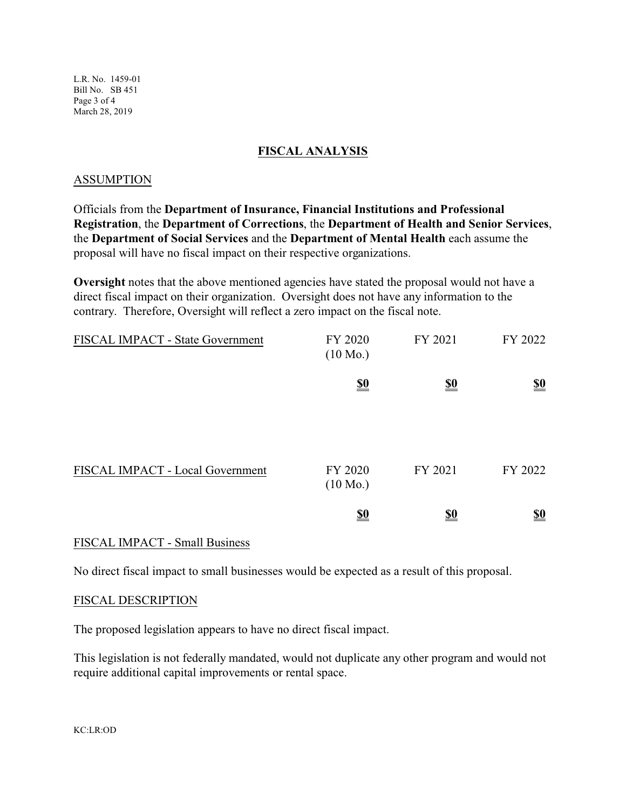L.R. No. 1459-01 Bill No. SB 451 Page 3 of 4 March 28, 2019

### **FISCAL ANALYSIS**

#### ASSUMPTION

Officials from the **Department of Insurance, Financial Institutions and Professional Registration**, the **Department of Corrections**, the **Department of Health and Senior Services**, the **Department of Social Services** and the **Department of Mental Health** each assume the proposal will have no fiscal impact on their respective organizations.

**Oversight** notes that the above mentioned agencies have stated the proposal would not have a direct fiscal impact on their organization. Oversight does not have any information to the contrary. Therefore, Oversight will reflect a zero impact on the fiscal note.

| <b>FISCAL IMPACT - State Government</b> | FY 2020<br>$(10 \text{ Mo.})$ | FY 2021    | FY 2022                       |
|-----------------------------------------|-------------------------------|------------|-------------------------------|
|                                         | $\underline{\underline{\$0}}$ | <u>\$0</u> | $\underline{\underline{\$0}}$ |
| FISCAL IMPACT - Local Government        | FY 2020<br>$(10 \text{ Mo.})$ | FY 2021    | FY 2022                       |
|                                         | $\underline{\underline{\$0}}$ | <u>\$0</u> | <u>\$0</u>                    |

#### FISCAL IMPACT - Small Business

No direct fiscal impact to small businesses would be expected as a result of this proposal.

#### FISCAL DESCRIPTION

The proposed legislation appears to have no direct fiscal impact.

This legislation is not federally mandated, would not duplicate any other program and would not require additional capital improvements or rental space.